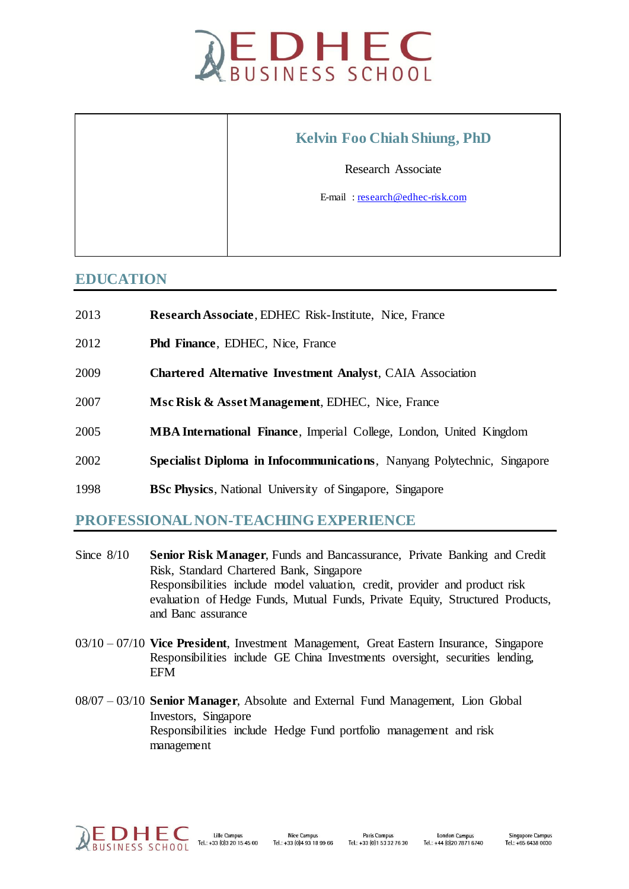

| <b>Kelvin Foo Chiah Shiung, PhD</b> |
|-------------------------------------|
| <b>Research Associate</b>           |
| E-mail: research@edhec-risk.com     |
|                                     |
|                                     |

## **EDUCATION**

 $\Gamma$ 

- 2013 **Research Associate**, EDHEC Risk-Institute, Nice, France
- 2012 **Phd Finance**, EDHEC, Nice, France

Τ

- 2009 **Chartered Alternative Investment Analyst**, CAIA Association
- 2007 **Msc Risk & Asset Management**, EDHEC, Nice, France
- 2005 **MBA International Finance**, Imperial College, London, United Kingdom
- 2002 **Specialist Diploma in Infocommunications**, Nanyang Polytechnic, Singapore
- 1998 **BSc Physics**, National University of Singapore, Singapore

## **PROFESSIONAL NON-TEACHING EXPERIENCE**

- Since 8/10 **Senior Risk Manager**, Funds and Bancassurance, Private Banking and Credit Risk, Standard Chartered Bank, Singapore Responsibilities include model valuation, credit, provider and product risk evaluation of Hedge Funds, Mutual Funds, Private Equity, Structured Products, and Banc assurance
- 03/10 07/10 **Vice President**, Investment Management, Great Eastern Insurance, Singapore Responsibilities include GE China Investments oversight, securities lending, EFM
- 08/07 03/10 **Senior Manager**, Absolute and External Fund Management, Lion Global Investors, Singapore Responsibilities include Hedge Fund portfolio management and risk management